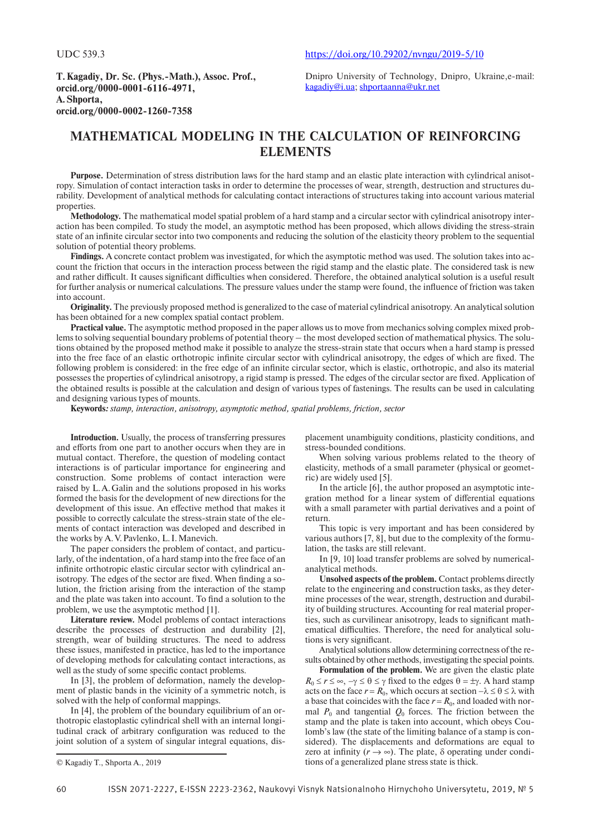**T.Kagadiy, Dr. Sc. (Phys.-Math.), Assoc. Prof., orcid.org/0000-0001-6116-4971, A.Shporta, orcid.org/0000-0002-1260-7358**

Dnipro University of Technology, Dnipro, Ukraine,e-mail: [kagadiy@i.ua;](mailto:kagadiy@i.ua) [shportaanna@ukr.net](mailto:shportaanna@ukr.net)

# **Mathematical modeling in the calculation of reinforcing elements**

**Purpose.** Determination of stress distribution laws for the hard stamp and an elastic plate interaction with cylindrical anisotropy. Simulation of contact interaction tasks in order to determine the processes of wear, strength, destruction and structures durability. Development of analytical methods for calculating contact interactions of structures taking into account various material properties.

**Methodology.** The mathematical model spatial problem of a hard stamp and a circular sector with cylindrical anisotropy interaction has been compiled. To study the model, an asymptotic method has been proposed, which allows dividing the stress-strain state of an infinite circular sector into two components and reducing the solution of the elasticity theory problem to the sequential solution of potential theory problems.

**Findings.** A concrete contact problem was investigated, for which the asymptotic method was used. The solution takes into account the friction that occurs in the interaction process between the rigid stamp and the elastic plate. The considered task is new and rather difficult. It causes significant difficulties when considered. Therefore, the obtained analytical solution is a useful result for further analysis or numerical calculations. The pressure values under the stamp were found, the influence of friction was taken into account.

**Originality.** The previously proposed method is generalized to the case of material cylindrical anisotropy. An analytical solution has been obtained for a new complex spatial contact problem.

**Practical value.** The asymptotic method proposed in the paper allows us to move from mechanics solving complex mixed problems to solving sequential boundary problems of potential theory – the most developed section of mathematical physics. The solutions obtained by the proposed method make it possible to analyze the stress-strain state that occurs when a hard stamp is pressed into the free face of an elastic orthotropic infinite circular sector with cylindrical anisotropy, the edges of which are fixed. The following problem is considered: in the free edge of an infinite circular sector, which is elastic, orthotropic, and also its material possesses the properties of cylindrical anisotropy, a rigid stamp is pressed. The edges of the circular sector are fixed. Application of the obtained results is possible at the calculation and design of various types of fastenings. The results can be used in calculating and designing various types of mounts.

**Keywords***: stamp, interaction, anisotropy, asymptotic method, spatial problems, friction, sector*

**Introduction.** Usually, the process of transferring pressures and efforts from one part to another occurs when they are in mutual contact. Therefore, the question of modeling contact interactions is of particular importance for engineering and construction. Some problems of contact interaction were raised by L.A.Galin and the solutions proposed in his works formed the basis for the development of new directions for the development of this issue. An effective method that makes it possible to correctly calculate the stress-strain state of the elements of contact interaction was developed and described in the works by A.V.Pavlenko, L.I.Manevich.

The paper considers the problem of contact, and particularly, of the indentation, of a hard stamp into the free face of an infinite orthotropic elastic circular sector with cylindrical anisotropy. The edges of the sector are fixed. When finding a solution, the friction arising from the interaction of the stamp and the plate was taken into account. To find a solution to the problem, we use the asymptotic method [1].

**Literature review.** Model problems of contact interactions describe the processes of destruction and durability [2], strength, wear of building structures. The need to address these issues, manifested in practice, has led to the importance of developing methods for calculating contact interactions, as well as the study of some specific contact problems.

In [3], the problem of deformation, namely the development of plastic bands in the vicinity of a symmetric notch, is solved with the help of conformal mappings.

In [4], the problem of the boundary equilibrium of an orthotropic elastoplastic cylindrical shell with an internal longitudinal crack of arbitrary configuration was reduced to the joint solution of a system of singular integral equations, dis-

placement unambiguity conditions, plasticity conditions, and stress-bounded conditions.

When solving various problems related to the theory of elasticity, methods of a small parameter (physical or geometric) are widely used [5].

In the article [6], the author proposed an asymptotic integration method for a linear system of differential equations with a small parameter with partial derivatives and a point of return.

This topic is very important and has been considered by various authors [7, 8], but due to the complexity of the formulation, the tasks are still relevant.

In [9, 10] load transfer problems are solved by numericalanalytical methods.

**Unsolved aspects of the problem.** Contact problems directly relate to the engineering and construction tasks, as they determine processes of the wear, strength, destruction and durability of building structures. Accounting for real material properties, such as curvilinear anisotropy, leads to significant mathematical difficulties. Therefore, the need for analytical solutions is very significant.

Analytical solutions allow determining correctness of the results obtained by other methods, investigating the special points.

**Formulation of the problem.** We are given the elastic plate  $R_0 \le r \le \infty$ ,  $-\gamma \le \theta \le \gamma$  fixed to the edges  $\theta = \pm \gamma$ . A hard stamp acts on the face  $r = R_0$ , which occurs at section  $-\lambda \le \theta \le \lambda$  with a base that coincides with the face  $r = R_0$ , and loaded with normal  $P_0$  and tangential  $Q_0$  forces. The friction between the stamp and the plate is taken into account, which obeys Coulomb's law (the state of the limiting balance of a stamp is considered). The displacements and deformations are equal to zero at infinity  $(r \rightarrow \infty)$ . The plate,  $\delta$  operating under conditions of a generalized plane stress state is thick.

<sup>©</sup> Kagadiy T., Shporta A., 2019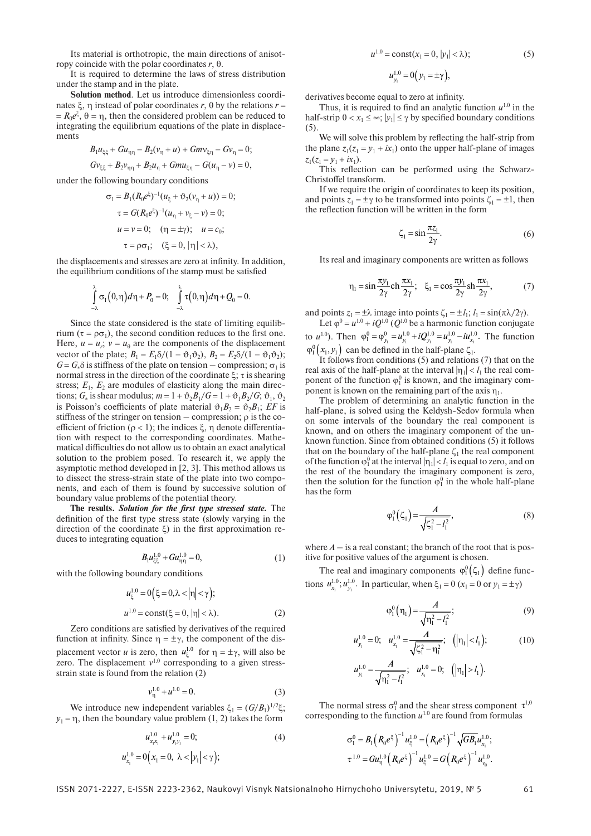Its material is orthotropic, the main directions of anisotropy coincide with the polar coordinates  $r$ , θ.

It is required to determine the laws of stress distribution under the stamp and in the plate.

**Solution method**. Let us introduce dimensionless coordinates  $\xi$ ,  $\eta$  instead of polar coordinates  $r$ ,  $\theta$  by the relations  $r =$  $=R_0e^{\xi}, \theta = \eta$ , then the considered problem can be reduced to integrating the equilibrium equations of the plate in displacements

$$
B_1 u_{\xi\xi} + Gu_{\eta\eta} - B_2(v_{\eta} + u) + Gmv_{\xi\eta} - Gv_{\eta} = 0;
$$
  

$$
Gv_{\xi\xi} + B_2 v_{\eta\eta} + B_2u_{\eta} + Gmu_{\xi\eta} - G(u_{\eta} - v) = 0,
$$

under the following boundary conditions

$$
\sigma_1 = B_1(R_0 e^{\xi})^{-1} (u_{\xi} + \vartheta_2 (v_{\eta} + u)) = 0;
$$
  
\n
$$
\tau = G(R_0 e^{\xi})^{-1} (u_{\eta} + v_{\xi} - v) = 0;
$$
  
\n
$$
u = v = 0; \quad (\eta = \pm \gamma); \quad u = c_0;
$$
  
\n
$$
\tau = \rho \sigma_1; \quad (\xi = 0, |\eta| < \lambda),
$$

the displacements and stresses are zero at infinity. In addition, the equilibrium conditions of the stamp must be satisfied

$$
\int_{-\lambda}^{\lambda} \sigma_1(0,\eta) d\eta + P_0 = 0; \quad \int_{-\lambda}^{\lambda} \tau(0,\eta) d\eta + Q_0 = 0.
$$

Since the state considered is the state of limiting equilibrium ( $\tau = \rho \sigma_1$ ), the second condition reduces to the first one. Here,  $u = u_r$ ;  $v = u_\theta$  are the components of the displacement vector of the plate;  $B_1 = E_1 \delta / (1 - \vartheta_1 \vartheta_2)$ ,  $B_2 = E_2 \delta / (1 - \vartheta_1 \vartheta_2)$ ;  $G = G_*\delta$  is stiffness of the plate on tension – compression;  $\sigma_1$  is normal stress in the direction of the coordinate  $\xi$ ;  $\tau$  is shearing stress;  $E_1$ ,  $E_2$  are modules of elasticity along the main directions;  $G_*$  is shear modulus;  $m = 1 + \vartheta_2 B_1/G = 1 + \vartheta_1 B_2/G$ ;  $\vartheta_1$ ,  $\vartheta_2$ is Poisson's coefficients of plate material  $\vartheta_1 B_2 = \vartheta_2 B_1$ ; *EF* is stiffness of the stringer on tension – compression;  $\rho$  is the coefficient of friction ( $\rho$  < 1); the indices  $\xi$ ,  $\eta$  denote differentiation with respect to the corresponding coordinates. Mathematical difficulties do not allow us to obtain an exact analytical solution to the problem posed. To research it, we apply the asymptotic method developed in [2, 3]. This method allows us to dissect the stress-strain state of the plate into two components, and each of them is found by successive solution of boundary value problems of the potential theory.

**The results.** *Solution for the first type stressed state.* The definition of the first type stress state (slowly varying in the direction of the coordinate  $\xi$ ) in the first approximation reduces to integrating equation

$$
B_1 u_{\xi\xi}^{1.0} + G u_{\eta\eta}^{1.0} = 0,\t\t(1)
$$

with the following boundary conditions

$$
u_{\xi}^{1.0} = 0(\xi = 0, \lambda < |\eta| < \gamma);
$$
  
\n
$$
u^{1.0} = \text{const}(\xi = 0, |\eta| < \lambda).
$$
\n(2)

Zero conditions are satisfied by derivatives of the required function at infinity. Since  $\eta = \pm \gamma$ , the component of the displacement vector *u* is zero, then  $u_{\xi}^{1.0}$  for  $\eta = \pm \gamma$ , will also be zero. The displacement  $v^{1.0}$  corresponding to a given stressstrain state is found from the relation (2)

$$
v_{\eta}^{1.0} + u^{1.0} = 0.
$$
 (3)

We introduce new independent variables  $\xi_1 = (G/B_1)^{1/2}\xi$ ;  $y_1 = \eta$ , then the boundary value problem (1, 2) takes the form

$$
u_{x_1x_1}^{1.0} + u_{y_1y_1}^{1.0} = 0;
$$
\n
$$
u_{x_1}^{1.0} = 0(x_1 = 0, \lambda < |y_1| < \gamma);
$$
\n(4)

$$
u^{1.0} = \text{const}(x_1 = 0, |y_1| < \lambda);
$$
  
\n
$$
u^{1.0}_{y_1} = 0(y_1 = \pm \gamma),
$$
\n(5)

derivatives become equal to zero at infinity.

Thus, it is required to find an analytic function  $u^{1,0}$  in the half-strip  $0 < x_1 \leq \infty$ ;  $|y_1| \leq \gamma$  by specified boundary conditions (5).

We will solve this problem by reflecting the half-strip from the plane  $z_1(z_1 = y_1 + ix_1)$  onto the upper half-plane of images  $z_1(z_1 = y_1 + ix_1).$ 

This reflection can be performed using the Schwarz-Christoffel transform.

If we require the origin of coordinates to keep its position, and points  $z_1 = \pm \gamma$  to be transformed into points  $\zeta_1 = \pm 1$ , then the reflection function will be written in the form

$$
\zeta_1 = \sin \frac{\pi z_1}{2\gamma}.\tag{6}
$$

Its real and imaginary components are written as follows

$$
\eta_1 = \sin \frac{\pi y_1}{2\gamma} \operatorname{ch} \frac{\pi x_1}{2\gamma}; \quad \xi_1 = \cos \frac{\pi y_1}{2\gamma} \operatorname{sh} \frac{\pi x_1}{2\gamma},\tag{7}
$$

and points  $z_1 = \pm \lambda$  image into points  $\zeta_1 = \pm l_1$ ;  $l_1 = \sin(\pi \lambda / 2\gamma)$ .

Let  $\varphi^0 = u^{1.0} + iQ^{1.0}$  (*Q*<sup>1.0</sup> be a harmonic function conjugate to  $u^{1.0}$ ). Then  $\varphi_1^0 = \varphi_{y_1}^0 = u_{y_1}^{1.0} + iQ_{y_1}^{1.0} = u_{y_1}^{1.0} - iu_{x_1}^{1.0}$ . The function  $\varphi_1^0(x_1, y_1)$  can be defined in the half-plane  $\zeta_1$ .

It follows from conditions (5) and relations (7) that on the real axis of the half-plane at the interval  $|\eta_1| < l_1$  the real component of the function  $\varphi_1^0$  is known, and the imaginary component is known on the remaining part of the axis  $\eta_1$ .

The problem of determining an analytic function in the half-plane, is solved using the Keldysh-Sedov formula when on some intervals of the boundary the real component is known, and on others the imaginary component of the unknown function. Since from obtained conditions (5) it follows that on the boundary of the half-plane  $\zeta_1$  the real component of the function  $\varphi_1^0$  at the interval  $|\eta_1| < l_1$  is equal to zero, and on the rest of the boundary the imaginary component is zero, then the solution for the function  $\varphi_1^0$  in the whole half-plane has the form

$$
\varphi_1^0(\zeta_1) = \frac{A}{\sqrt{\zeta_1^2 - l_1^2}},\tag{8}
$$

where  $A -$  is a real constant; the branch of the root that is positive for positive values of the argument is chosen.

The real and imaginary components  $\varphi_1^0(\zeta_1)$  define functions  $u_{x_1}^{1.0}$ ;  $u_{y_1}^{1.0}$ . In particular, when  $\xi_1 = 0$  ( $x_1 = 0$  or  $y_1 = \pm \gamma$ )

$$
\varphi_1^0(\eta_1) = \frac{A}{\sqrt{\eta_1^2 - l_1^2}}; \tag{9}
$$

$$
u_{y_i}^{1.0} = 0; \quad u_{x_i}^{1.0} = \frac{A}{\sqrt{\zeta_1^2 - \eta_1^2}}; \quad (|\eta_1| < l_1); \tag{10}
$$

$$
u_{y_i}^{1.0} = \frac{A}{\sqrt{\eta_i^2 - l_i^2}}
$$
;  $u_{x_i}^{1.0} = 0$ ;  $(|\eta_i| > l_1)$ .

The normal stress  $\sigma_1^0$  and the shear stress component  $\tau^{1,0}$ corresponding to the function  $u^{1.0}$  are found from formulas

$$
\sigma_1^0 = B_1 \left( R_0 e^{\xi} \right)^{-1} u_{\xi}^{1.0} = \left( R_0 e^{\xi} \right)^{-1} \sqrt{G B_1} u_{x_1}^{1.0},
$$
  

$$
\tau^{1.0} = G u_{\eta}^{1.0} \left( R_0 e^{\xi} \right)^{-1} u_{\xi}^{1.0} = G \left( R_0 e^{\xi} \right)^{-1} u_{\eta_1}^{1.0}.
$$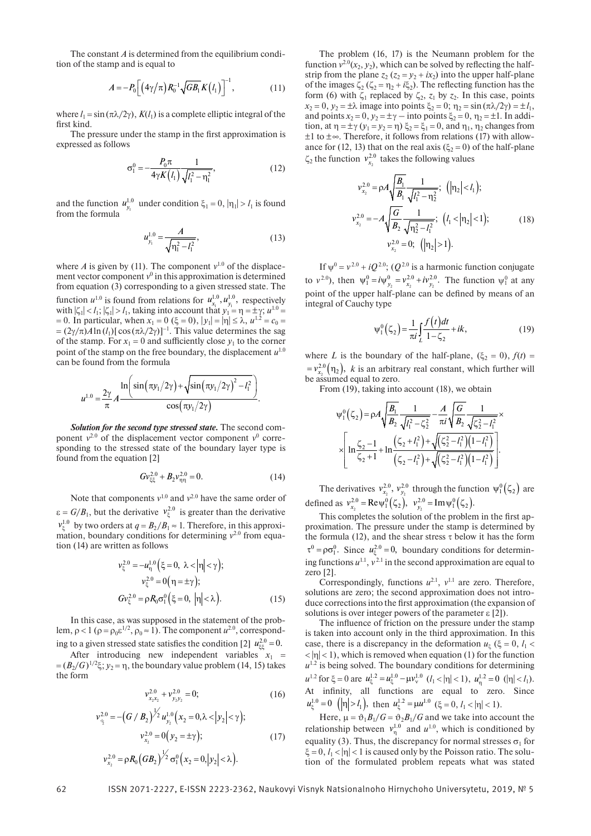The constant *A* is determined from the equilibrium condition of the stamp and is equal to

$$
A = -P_0 \Big[ \Big( 4\gamma/\pi \Big) R_0^{-1} \sqrt{GB_1} K(l_1) \Big]^{-1}, \tag{11}
$$

where  $l_1 = \sin(\pi\lambda/2\gamma)$ ,  $K(l_1)$  is a complete elliptic integral of the first kind.

The pressure under the stamp in the first approximation is expressed as follows

$$
\sigma_1^0 = -\frac{P_0 \pi}{4\gamma K(l_1)} \frac{1}{\sqrt{l_1^2 - \eta_1^2}},\tag{12}
$$

and the function  $u_{y_1}^{1.0}$  under condition  $\xi_1 = 0$ ,  $|\eta_1| > l_1$  is found from the formula

$$
u_{y_1}^{1.0} = \frac{A}{\sqrt{\eta_1^2 - l_1^2}},\tag{13}
$$

where *A* is given by (11). The component  $v^{1,0}$  of the displacement vector component  $v^0$  in this approximation is determined from equation (3) corresponding to a given stressed state. The function  $u^{1.0}$  is found from relations for  $u^{1.0}_{x_1}$ ,  $u^{1.0}_{y_1}$ function  $u^{1.0}$  is found from relations for  $u^{1.0}, u^{1.0}$ , respectively with  $|\zeta_1| < l_1$ ;  $|\zeta_1| > l_1$ , taking into account that  $y_1 = \eta = \pm \gamma$ ;  $u^{1.0} =$  $= 0$ . In particular, when  $x_1 = 0$  ( $\xi = 0$ ),  $|y_1| = |\eta| \le \lambda$ ,  $u^{1.2} = c_0 =$  $=(2\gamma/\pi)A\ln(l_1)[\cos(\pi\lambda/2\gamma)]^{-1}$ . This value determines the sag of the stamp. For  $x_1 = 0$  and sufficiently close  $y_1$  to the corner point of the stamp on the free boundary, the displacement  $u^{1,0}$ can be found from the formula

$$
u^{1.0} = \frac{2\gamma}{\pi} A \frac{\ln \left( \sin(\pi y_1/2\gamma) + \sqrt{\sin(\pi y_1/2\gamma)^2 - l_1^2} \right)}{\cos(\pi y_1/2\gamma)}.
$$

*Solution for the second type stressed state.* The second component  $v^{2.0}$  of the displacement vector component  $v^0$  corresponding to the stressed state of the boundary layer type is found from the equation [2]

$$
Gv_{\xi\xi}^{2.0} + B_2 v_{\eta\eta}^{2.0} = 0.
$$
 (14)

Note that components  $v^{1.0}$  and  $v^{2.0}$  have the same order of  $\varepsilon = G/B_1$ , but the derivative  $v_{\xi}^{2.0}$  is greater than the derivative  $v_r^{1.0}$  by two orders at  $q = B_2/B_1 \approx 1$ . Therefore, in this approximation, boundary conditions for determining  $v^{2.0}$  from equation (14) are written as follows

$$
\nu_{\xi}^{2.0} = -u_{\eta}^{1.0} (\xi = 0, \ \lambda < |\eta| < \gamma); \n\nu_{\xi}^{2.0} = 0 (\eta = \pm \gamma); \nG\nu_{\xi}^{2.0} = \rho R_0 \sigma_1^0 (\xi = 0, \ |\eta| < \lambda).
$$
\n(15)

In this case, as was supposed in the statement of the problem,  $\rho < 1$  ( $\rho = \rho_0 \varepsilon^{1/2}$ ,  $\rho_0 \approx 1$ ). The component  $u^{2.0}$ , corresponding to a given stressed state satisfies the condition [2]  $u_{\xi\xi}^{2.0} = 0$ .

After introducing new independent variables  $x_1$  =  $=(B_2/G)^{1/2}\xi$ ;  $y_2 = \eta$ , the boundary value problem (14, 15) takes the form

$$
v_{x_2x_2}^{2.0} + v_{y_2y_2}^{2.0} = 0; \t\t(16)
$$

$$
v_{\div}^{2.0} = -\left(G \ / B_{2}\right)^{1/2} u_{\nu_{2}}^{1.0} \left(x_{2} = 0, \lambda < |y_{2}| < \gamma\right);
$$
\n
$$
v_{x_{2}}^{2.0} = 0\left(y_{2} = \pm \gamma\right); \qquad (17)
$$
\n
$$
v_{x_{2}}^{2.0} = \rho R_{0} \left(GB_{2}\right)^{1/2} \sigma_{1}^{0} \left(x_{2} = 0, |y_{2}| < \lambda\right).
$$

The problem (16, 17) is the Neumann problem for the function  $v^{2.0}(x_2, y_2)$ , which can be solved by reflecting the halfstrip from the plane  $z_2$  ( $z_2 = y_2 + ix_2$ ) into the upper half-plane of the images  $\zeta_2$  ( $\zeta_2 = \eta_2 + i \xi_2$ ). The reflecting function has the form (6) with  $\zeta_1$  replaced by  $\zeta_2$ ,  $z_1$  by  $z_2$ . In this case, points  $x_2 = 0$ ,  $y_2 = \pm \lambda$  image into points  $\xi_2 = 0$ ;  $\eta_2 = \sin(\pi \lambda / 2\gamma) = \pm l_1$ , and points  $x_2 = 0$ ,  $y_2 = \pm \gamma$  – into points  $\xi_2 = 0$ ,  $\eta_2 = \pm 1$ . In addition, at  $\eta = \pm \gamma (y_1 - y_2) = \gamma$   $\xi_2 = \xi_1 = 0$ , and  $\eta_1$ ,  $\eta_2$  changes from  $\pm 1$  to  $\pm \infty$ . Therefore, it follows from relations (17) with allowance for (12, 13) that on the real axis ( $\xi_2 = 0$ ) of the half-plane  $\zeta_2$  the function  $v_{x_2}^{2.0}$  takes the following values

$$
v_{x_2}^{2.0} = \rho A \sqrt{\frac{B_1}{B_1}} \frac{1}{\sqrt{l_1^2 - \eta_2^2}}; \quad (|\eta_2| < l_1);
$$
  
\n
$$
v_{x_2}^{2.0} = -A \sqrt{\frac{G}{B_2}} \frac{1}{\sqrt{\eta_2^2 - l_1^2}}; \quad (l_1 < |\eta_2| < 1);
$$
  
\n
$$
v_{x_2}^{2.0} = 0; \quad (|\eta_2| > 1).
$$
  
\n(18)

If  $\psi^0 = v^{2.0} + iQ^{2.0}$ ; ( $Q^{2.0}$  is a harmonic function conjugate to  $v^{2.0}$ ), then  $\psi_1^0 = i\psi_{y_2}^0 = v_{x_2}^{2.0} + iv_{y_2}^{2.0}$ . The function  $\psi_1^0$  at any point of the upper half-plane can be defined by means of an integral of Cauchy type

$$
\psi_1^0(\zeta_2) = \frac{1}{\pi i} \int_{L} \frac{f(t)dt}{1 - \zeta_2} + ik,\tag{19}
$$

where *L* is the boundary of the half-plane,  $(\xi_2 = 0)$ ,  $f(t) =$  $= v_{x_2}^{2.0}(\eta_2)$ , *k* is an arbitrary real constant, which further will be assumed equal to zero.

From (19), taking into account (18), we obtain

$$
\psi_1^0(\zeta_2) = \rho A \sqrt{\frac{B_1}{B_2}} \frac{1}{\sqrt{l_1^2 - \zeta_2^2}} - \frac{A}{\pi i} \sqrt{\frac{G}{B_2}} \frac{1}{\sqrt{\zeta_2^2 - l_1^2}} \times \left[ \ln \frac{\zeta_2 - 1}{\zeta_2 + 1} + \ln \frac{(\zeta_2 + l_1^2) + \sqrt{(\zeta_2^2 - l_1^2)(1 - l_1^2)}}{(\zeta_2 - l_1^2) + \sqrt{(\zeta_2^2 - l_1^2)(1 - l_1^2)}} \right].
$$

The derivatives  $v_{x_2}^{2.0}$ ,  $v_{y_2}^{2.0}$  through the function  $\psi_1^0(\zeta_2)$  are defined as  $v_{x_2}^{2.0} = \text{Re}\psi_1^0(\zeta_2), v_{y_2}^{2.0} = \text{Im}\psi_1^0(\zeta_2).$ 

This completes the solution of the problem in the first approximation. The pressure under the stamp is determined by the formula (12), and the shear stress  $\tau$  below it has the form  $\tau^0 = \rho \sigma_1^0$ . Since  $u_{\xi}^{2.0} = 0$ , boundary conditions for determining functions  $u^{1,1}$ ,  $v^{2,1}$  in the second approximation are equal to zero [2].

Correspondingly, functions  $u^{2.1}$ ,  $v^{1.1}$  are zero. Therefore, solutions are zero; the second approximation does not introduce corrections into the first approximation (the expansion of solutions is over integer powers of the parameter  $\epsilon$  [2]).

The influence of friction on the pressure under the stamp is taken into account only in the third approximation. In this case, there is a discrepancy in the deformation  $u_k$  ( $\xi = 0$ ,  $l_1$  <  $|\langle \cdot |n| \langle 1 \rangle|$ , which is removed when equation (1) for the function  $u^{1.2}$  is being solved. The boundary conditions for determining  $u^{1.2}$  for  $\xi = 0$  are  $u^{1.2}_\xi = u^{1.0}_\xi - \mu v^{1.0}_v$   $(l_1 < |\eta| < 1)$ ,  $u^{1.2}_\eta = 0$   $(|\eta| < l_1)$ . At infinity, all functions are equal to zero. Since  $u_{\xi}^{1.0} = 0$  (|n| >  $l_1$ ), then  $u_{\xi}^{1.2} = \mu u^{1.0}$  ( $\xi = 0, l_1 < |\eta| < 1$ ).

Here,  $\mu = \vartheta_1 B_1/G = \vartheta_2 B_1/G$  and we take into account the relationship between  $v_n^{1.0}$  and  $u^{1.0}$ , which is conditioned by equality (3). Thus, the discrepancy for normal stresses  $\sigma_1$  for  $\xi = 0, l_1 < |\eta| < 1$  is caused only by the Poisson ratio. The solution of the formulated problem repeats what was stated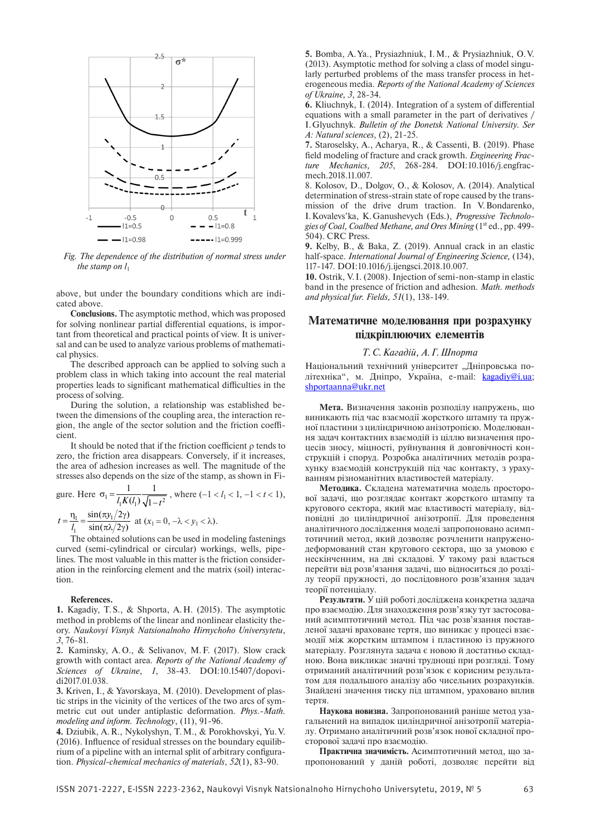

*Fig. The dependence of the distribution of normal stress under the stamp on*  $l_1$ 

above, but under the boundary conditions which are indicated above.

**Conclusions.** The asymptotic method, which was proposed for solving nonlinear partial differential equations, is important from theoretical and practical points of view. It is universal and can be used to analyze various problems of mathematical physics.

The described approach can be applied to solving such a problem class in which taking into account the real material properties leads to significant mathematical difficulties in the process of solving.

During the solution, a relationship was established between the dimensions of the coupling area, the interaction region, the angle of the sector solution and the friction coefficient.

It should be noted that if the friction coefficient  $\rho$  tends to zero, the friction area disappears. Conversely, if it increases, the area of adhesion increases as well. The magnitude of the stresses also depends on the size of the stamp, as shown in Fi-

gure. Here 
$$
\sigma_1 = \frac{1}{l_1 K(l_1)} \frac{1}{\sqrt{1 - t^2}}
$$
, where  $(-1 < l_1 < 1, -1 < t < 1)$ ,  
 $t = \frac{\eta_1}{l_1} = \frac{\sin(\pi y_1/2\gamma)}{\sin(\pi \lambda/2\gamma)}$  at  $(x_1 = 0, -\lambda < y_1 < \lambda)$ .

The obtained solutions can be used in modeling fastenings curved (semi-cylindrical or circular) workings, wells, pipelines. The most valuable in this matter is the friction consideration in the reinforcing element and the matrix (soil) interaction.

#### **References.**

**1.** Kagadiy, T.S., & Shporta, A.H. (2015). The asymptotic method in problems of the linear and nonlinear elasticity theory. *Naukovyi Visnyk Natsionalnoho Hirnychoho Universytetu*, *3*, 76-81.

**2.** Kaminsky, A.O., & Selivanov, M.F. (2017). Slow crack growth with contact area. *Reports of the National Academy of Sciences of Ukraine*, *1*, 38-43. DOI:10.15407/dopovidi2017.01.038.

**3.** Kriven, I., & Yavorskaya, M. (2010). Development of plastic strips in the vicinity of the vertices of the two arcs of symmetric cut out under antiplastic deformation. *Phys.-Math. modeling and inform. Technology*, (11), 91-96.

**4.** Dziubik, A.R., Nykolyshyn, T.M., & Porokhovskyi, Yu.V. (2016). Influence of residual stresses on the boundary equilibrium of a pipeline with an internal split of arbitrary configuration. *Physical-chemical mechanics of materials*, *52*(1), 83-90.

**5.** Bomba, A.Ya., Prysiazhniuk, I.M., & Prysiazhniuk, O.V. (2013). Asymptotic method for solving a class of model singularly perturbed problems of the mass transfer process in heterogeneous media. *Reports of the National Academy of Sciences of Ukraine, 3*, 28-34.

**6.** Kliuchnyk, I. (2014). Integration of a system of differential equations with a small parameter in the part of derivatives / I.Glyuchnyk. *Bulletin of the Donetsk National University. Ser A: Natural sciences*, (2), 21-25.

**7.** Staroselsky, A., Acharya, R., & Cassenti, B. (2019). Phase field modeling of fracture and crack growth. *Engineering Fracture Mechanics, 205*, 268-284. DOI:10.1016/j.engfracmech.2018.11.007.

8. Kolosov, D., Dolgov, O., & Kolosov, A. (2014). Analytical determination of stress-strain state of rope caused by the transmission of the drive drum traction. In V.Bondarenko, I.Kovalevs'ka, K.Ganushevych (Eds.), *Progressive Technologies of Coal, Coalbed Methane, and Ores Mining* (1st ed., pp. 499-504). CRC Press.

**9.** Kelby, B., & Baka, Z. (2019). Annual crack in an elastic half-space. *International Journal of Engineering Science,* (134), 117-147. DOI:10.1016/j.ijengsci.2018.10.007.

**10.** Ostrik, V.I. (2008). Injection of semi-non-stamp in elastic band in the presence of friction and adhesion. *Math. methods and physical fur. Fields, 51*(1), 138-149.

## **Математичне моделювання при розрахунку підкріплюючих елементів**

### *Т.С.Кагадій, А.Г.Шпорта*

Національний технічний університет "Дніпровська політехніка", м. Дніпро, Україна, e-mail: [kagadiy@i.ua;](mailto:kagadiy@i.ua) [shportaanna@ukr.net](mailto:shportaanna@ukr.net)

**Мета.** Визначення законів розподілу напружень, що виникають під час взаємодії жорсткого штампу та пружної пластини з циліндричною анізотропією. Моделювання задач контактних взаємодій із ціллю визначення процесів зносу, міцності, руйнування й довговічності конструкцій і споруд. Розробка аналітичних методів розрахунку взаємодій конструкцій під час контакту, з урахуванням різноманітних властивостей матеріалу.

**Методика.** Складена математична модель просторової задачі, що розглядає контакт жорсткого штампу та кругового сектора, який має властивості матеріалу, відповідні до циліндричної анізотропії. Для проведення аналітичного дослідження моделі запропоновано асимптотичний метод, який дозволяє розчленити напруженодеформований стан кругового сектора, що за умовою є нескінченним, на дві складові. У такому разі вдається перейти від розв'язання задачі, що відноситься до розділу теорії пружності, до послідовного розв'язання задач теорії потенціалу.

**Результати.** У цій роботі досліджена конкретна задача про взаємодію. Для знаходження розв'язку тут застосований асимптотичний метод. Під час розв'язання поставленої задачі враховане тертя, що виникає у процесі взаємодії між жорстким штампом і пластиною із пружного матеріалу. Розглянута задача є новою й достатньо складною. Вона викликає значні труднощі при розгляді. Тому отриманий аналітичний розв'язок є корисним результатом для подальшого аналізу або чисельних розрахунків. Знайдені значення тиску під штампом, ураховано вплив тертя.

**Наукова новизна.** Запропонований раніше метод узагальнений на випадок циліндричної анізотропії матеріалу. Отримано аналітичний розв'язок нової складної просторової задачі про взаємодію.

**Практична значимість.** Асимптотичний метод, що запропонований у даній роботі, дозволяє перейти від